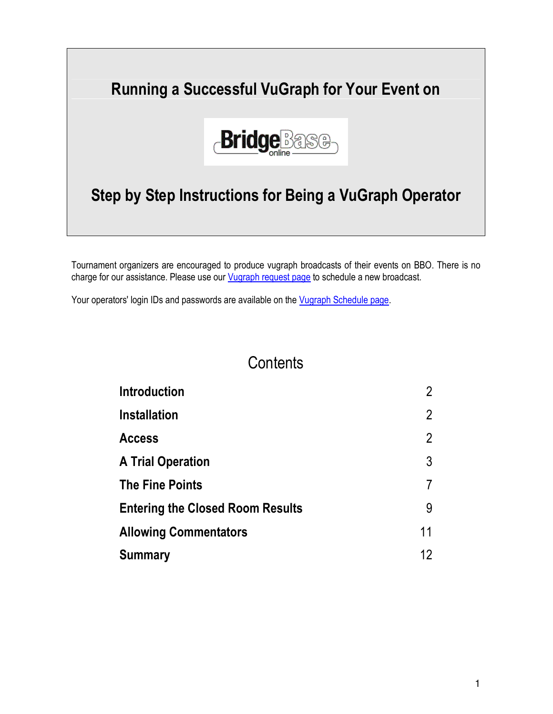# Running a Successful VuGraph for Your Event on



# Step by Step Instructions for Being a VuGraph Operator

Tournament organizers are encouraged to produce vugraph broadcasts of their events on BBO. There is no charge for our assistance. Please use our *Vugraph request page* to schedule a new broadcast.

Your operators' login IDs and passwords are available on the *Vugraph Schedule page*.

#### **Contents**

| <b>Introduction</b>                     | $\overline{2}$    |
|-----------------------------------------|-------------------|
| <b>Installation</b>                     | $\overline{2}$    |
| <b>Access</b>                           | $\overline{2}$    |
| <b>A Trial Operation</b>                | 3                 |
| <b>The Fine Points</b>                  |                   |
| <b>Entering the Closed Room Results</b> | 9                 |
| <b>Allowing Commentators</b>            | 11                |
| <b>Summary</b>                          | $12 \overline{ }$ |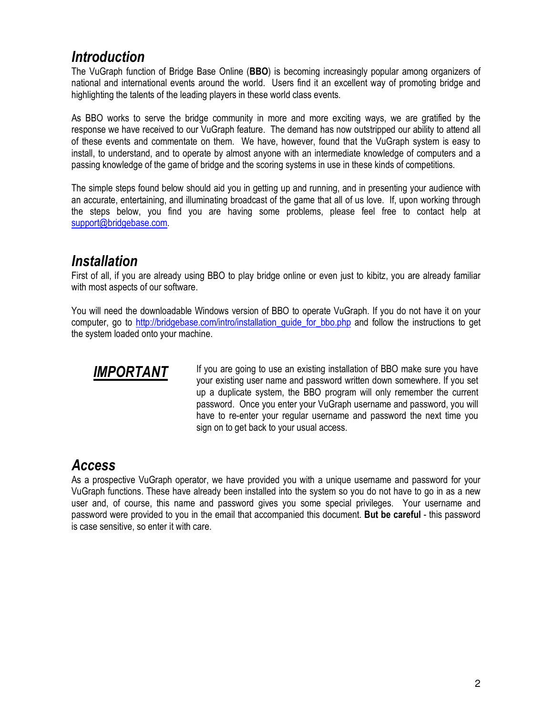#### **Introduction**

The VuGraph function of Bridge Base Online (BBO) is becoming increasingly popular among organizers of national and international events around the world. Users find it an excellent way of promoting bridge and highlighting the talents of the leading players in these world class events.

As BBO works to serve the bridge community in more and more exciting ways, we are gratified by the response we have received to our VuGraph feature. The demand has now outstripped our ability to attend all of these events and commentate on them. We have, however, found that the VuGraph system is easy to install, to understand, and to operate by almost anyone with an intermediate knowledge of computers and a passing knowledge of the game of bridge and the scoring systems in use in these kinds of competitions.

The simple steps found below should aid you in getting up and running, and in presenting your audience with an accurate, entertaining, and illuminating broadcast of the game that all of us love. If, upon working through the steps below, you find you are having some problems, please feel free to contact help at support@bridgebase.com.

#### Installation

First of all, if you are already using BBO to play bridge online or even just to kibitz, you are already familiar with most aspects of our software.

You will need the downloadable Windows version of BBO to operate VuGraph. If you do not have it on your computer, go to http://bridgebase.com/intro/installation\_guide\_for\_bbo.php and follow the instructions to get the system loaded onto your machine.



**IMPORTANT** If you are going to use an existing installation of BBO make sure you have your existing user name and password written down somewhere. If you set up a duplicate system, the BBO program will only remember the current password. Once you enter your VuGraph username and password, you will have to re-enter your regular username and password the next time you sign on to get back to your usual access.

#### Access

As a prospective VuGraph operator, we have provided you with a unique username and password for your VuGraph functions. These have already been installed into the system so you do not have to go in as a new user and, of course, this name and password gives you some special privileges. Your username and password were provided to you in the email that accompanied this document. But be careful - this password is case sensitive, so enter it with care.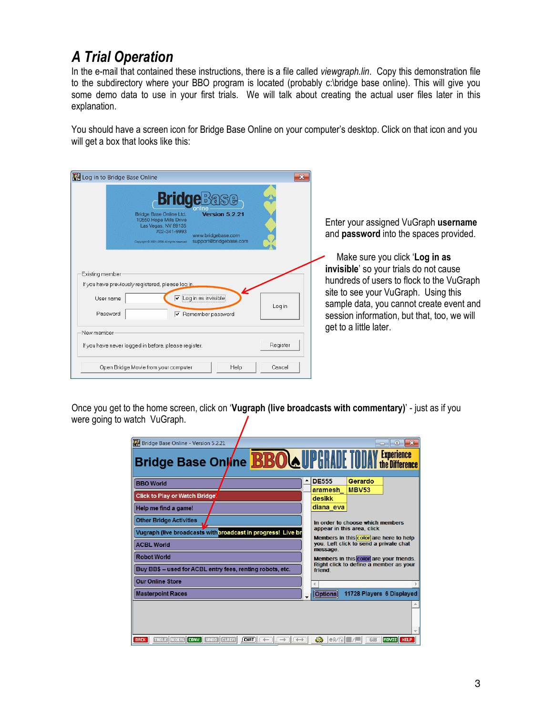## A Trial Operation

In the e-mail that contained these instructions, there is a file called viewgraph.lin. Copy this demonstration file to the subdirectory where your BBO program is located (probably c:\bridge base online). This will give you some demo data to use in your first trials. We will talk about creating the actual user files later in this explanation.

You should have a screen icon for Bridge Base Online on your computer's desktop. Click on that icon and you will get a box that looks like this:

| Log in to Bridge Base Online                                                                                                                                                                                                  |          |                                                                                                                                                                                                                                                          |
|-------------------------------------------------------------------------------------------------------------------------------------------------------------------------------------------------------------------------------|----------|----------------------------------------------------------------------------------------------------------------------------------------------------------------------------------------------------------------------------------------------------------|
| <b>Bridge</b> Base<br>Bridge Base Online Ltd.<br>Version 5 2 21<br>10550 Hope Mills Drive<br>Las Vegas, NV 89135<br>702-341-9993<br>www.bridgebase.com<br>support@bridgebase.com<br>Copyright C 2001-2006 All rights reserved |          | Enter your assigned VuGraph username<br>and password into the spaces provided.                                                                                                                                                                           |
| Existing member<br>If you have previously registered, please log in<br>$\triangledown$ Log in as invisible<br>Username<br>Password<br>$\boxed{\mathsf{v}}$ Remember password                                                  | Log in   | Make sure you click 'Log in as<br>invisible' so your trials do not cause<br>hundreds of users to flock to the VuGraph<br>site to see your VuGraph. Using this<br>sample data, you cannot create event and<br>session information, but that, too, we will |
| New member<br>If you have never logged in before, please register.                                                                                                                                                            | Register | get to a little later.                                                                                                                                                                                                                                   |
| Open Bridge Movie from your computer<br>Help                                                                                                                                                                                  | Cancel   |                                                                                                                                                                                                                                                          |

Once you get to the home screen, click on 'Vugraph (live broadcasts with commentary)' - just as if you were going to watch VuGraph.

| Bridge Base Online - Version 5.2.21                                  | $\mathbf{R}$<br>同<br>$\Box$                                          |
|----------------------------------------------------------------------|----------------------------------------------------------------------|
| Bridge Base Online <b>BBOAUPGRADE TODAY</b> Experience               |                                                                      |
| <b>BBO</b> World                                                     | <b>DE555</b><br>Gerardo                                              |
|                                                                      | <b>MBV53</b><br>aramesh                                              |
| <b>Click to Play or Watch Bridge'</b>                                | desikk                                                               |
| Help me find a game!                                                 | diana eva                                                            |
| <b>Other Bridge Activities</b>                                       | In order to choose which members                                     |
| Vugraph (live broadcasts with broadcast in progress! Live br         | appear in this area, click<br>Members in this color are here to help |
| <b>ACBL World</b>                                                    | you. Left click to send a private chat<br>message.                   |
| <b>Robot World</b>                                                   | Members in this color are your friends.                              |
| Buy BB\$ -- used for ACBL entry fees, renting robots, etc.           | Right click to define a member as your<br>friend                     |
| <b>Our Online Store</b>                                              |                                                                      |
| <b>Masterpoint Races</b>                                             | 11728 Players 6 Displayed<br><b>Options</b>                          |
|                                                                      |                                                                      |
| TABLE REDEAL CONV. UNDO CLAIM<br>$\sqrt{\text{CIMT}}$<br><b>BACK</b> | 43<br>MOVIE HELP<br> A / B <br>GiB                                   |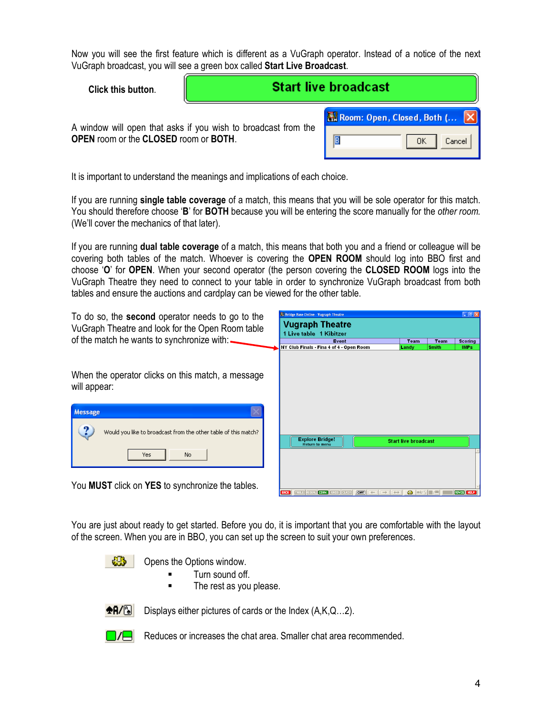Now you will see the first feature which is different as a VuGraph operator. Instead of a notice of the next VuGraph broadcast, you will see a green box called Start Live Broadcast.

| Click this button.                                                                                      | <b>Start live broadcast</b> |                              |  |
|---------------------------------------------------------------------------------------------------------|-----------------------------|------------------------------|--|
|                                                                                                         |                             | Room: Open, Closed, Both ( X |  |
| A window will open that asks if you wish to broadcast from the<br>OPEN room or the CLOSED room or BOTH. |                             | IB<br>OΚ<br>Cancel           |  |

It is important to understand the meanings and implications of each choice.

If you are running single table coverage of a match, this means that you will be sole operator for this match. You should therefore choose 'B' for **BOTH** because you will be entering the score manually for the *other room*. (We'll cover the mechanics of that later).

If you are running dual table coverage of a match, this means that both you and a friend or colleague will be covering both tables of the match. Whoever is covering the OPEN ROOM should log into BBO first and choose 'O' for OPEN. When your second operator (the person covering the CLOSED ROOM logs into the VuGraph Theatre they need to connect to your table in order to synchronize VuGraph broadcast from both tables and ensure the auctions and cardplay can be viewed for the other table.

| To do so, the <b>second</b> operator needs to go to the<br>VuGraph Theatre and look for the Open Room table | <b>B. Bridge Base Online - Vugraph Theatre</b><br><b>Vugraph Theatre</b><br>1 Live table 1 Kibitzer           |                             |                             | $\Box$ e $\times$             |
|-------------------------------------------------------------------------------------------------------------|---------------------------------------------------------------------------------------------------------------|-----------------------------|-----------------------------|-------------------------------|
| of the match he wants to synchronize with:                                                                  | Event<br>NY Club Finals - Fina 4 of 4 - Open Room                                                             | Team<br>Landy               | <b>Team</b><br><b>Smith</b> | <b>Scoring</b><br><b>IMPs</b> |
| When the operator clicks on this match, a message<br>will appear:                                           |                                                                                                               |                             |                             |                               |
| <b>Message</b>                                                                                              |                                                                                                               |                             |                             |                               |
| Would you like to broadcast from the other table of this match?                                             | <b>Explore Bridge!</b><br><b>Return to menu</b>                                                               | <b>Start live broadcast</b> |                             |                               |
| No.<br>Yes                                                                                                  |                                                                                                               |                             |                             |                               |
| You <b>MUST</b> click on <b>YES</b> to synchronize the tables.                                              | CONV.<br>[CHAT]<br>TRBLE REDER<br>$ $ [CLAIM]<br>BACK  <br>$\rightarrow$<br>$\leftarrow$<br>$\leftrightarrow$ | <b>OB</b><br>R              |                             | MOVIE HELP                    |

You are just about ready to get started. Before you do, it is important that you are comfortable with the layout of the screen. When you are in BBO, you can set up the screen to suit your own preferences.

-95 Opens the Options window.

- Turn sound off.
- **The rest as you please.**



Displays either pictures of cards or the Index (A,K,Q…2).



Reduces or increases the chat area. Smaller chat area recommended.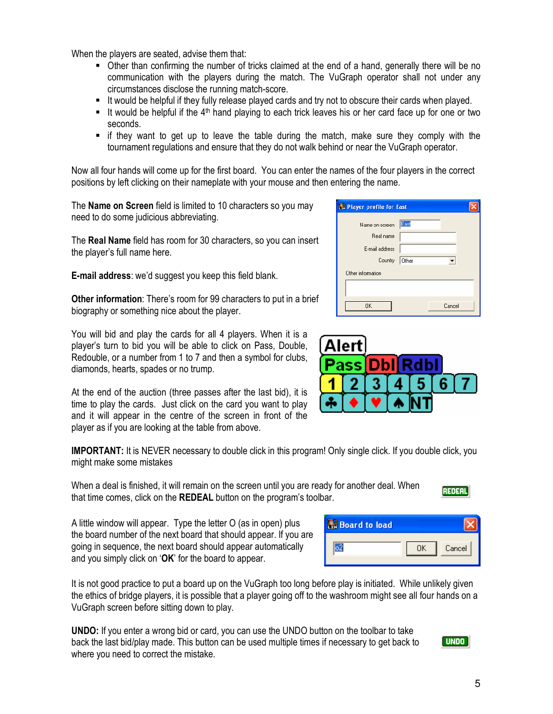When the players are seated, advise them that:

- Other than confirming the number of tricks claimed at the end of a hand, generally there will be no communication with the players during the match. The VuGraph operator shall not under any circumstances disclose the running match-score.
- It would be helpful if they fully release played cards and try not to obscure their cards when played.
- It would be helpful if the  $4<sup>th</sup>$  hand playing to each trick leaves his or her card face up for one or two seconds.
- if they want to get up to leave the table during the match, make sure they comply with the tournament regulations and ensure that they do not walk behind or near the VuGraph operator.

Now all four hands will come up for the first board. You can enter the names of the four players in the correct positions by left clicking on their nameplate with your mouse and then entering the name.

The **Name on Screen** field is limited to 10 characters so you may need to do some judicious abbreviating.

The Real Name field has room for 30 characters, so you can insert the player's full name here.

E-mail address: we'd suggest you keep this field blank.

Other information: There's room for 99 characters to put in a brief biography or something nice about the player.

You will bid and play the cards for all 4 players. When it is a player's turn to bid you will be able to click on Pass, Double, Redouble, or a number from 1 to 7 and then a symbol for clubs, diamonds, hearts, spades or no trump.

At the end of the auction (three passes after the last bid), it is time to play the cards. Just click on the card you want to play and it will appear in the centre of the screen in front of the player as if you are looking at the table from above.

**IMPORTANT:** It is NEVER necessary to double click in this program! Only single click. If you double click, you might make some mistakes

When a deal is finished, it will remain on the screen until you are ready for another deal. When that time comes, click on the REDEAL button on the program's toolbar.

A little window will appear. Type the letter O (as in open) plus the board number of the next board that should appear. If you are going in sequence, the next board should appear automatically and you simply click on 'OK' for the board to appear.

It is not good practice to put a board up on the VuGraph too long before play is initiated. While unlikely given the ethics of bridge players, it is possible that a player going off to the washroom might see all four hands on a VuGraph screen before sitting down to play.

UNDO: If you enter a wrong bid or card, you can use the UNDO button on the toolbar to take back the last bid/play made. This button can be used multiple times if necessary to get back to where you need to correct the mistake.



**REDEAL** 

Cancel

0K

| <b>Player profile for East</b> |  |
|--------------------------------|--|
| East                           |  |
|                                |  |
|                                |  |
| Other                          |  |
|                                |  |
|                                |  |
| Cancel                         |  |
|                                |  |



**R.** Board to load

**02**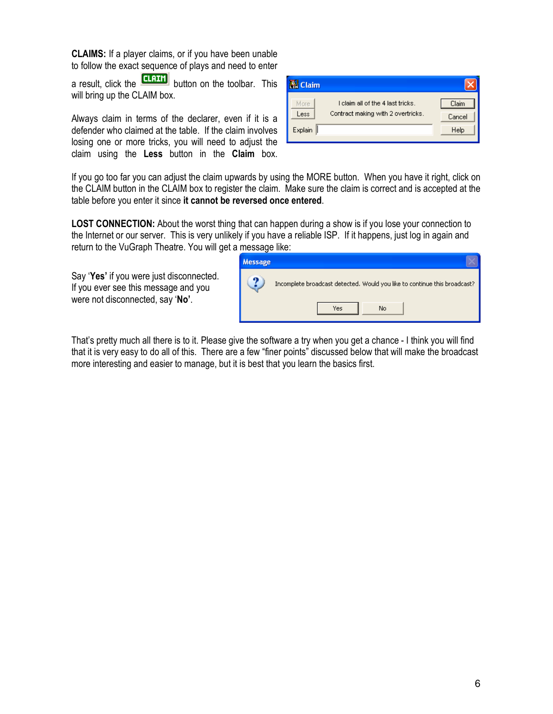CLAIMS: If a player claims, or if you have been unable to follow the exact sequence of plays and need to enter

a result, click the  $\frac{[C \cdot B \cdot B \cdot B]}{B \cdot B}$  button on the toolbar. This will bring up the CLAIM box.

Always claim in terms of the declarer, even if it is a defender who claimed at the table. If the claim involves losing one or more tricks, you will need to adjust the claim using the Less button in the Claim box.

| <b>E.</b> Claim |                                    |        |
|-----------------|------------------------------------|--------|
| More            | I claim all of the 4 last tricks.  | Claim  |
| Less            | Contract making with 2 overtricks. | Cancel |
| Explain         |                                    | Help   |

If you go too far you can adjust the claim upwards by using the MORE button. When you have it right, click on the CLAIM button in the CLAIM box to register the claim. Make sure the claim is correct and is accepted at the table before you enter it since it cannot be reversed once entered.

LOST CONNECTION: About the worst thing that can happen during a show is if you lose your connection to the Internet or our server. This is very unlikely if you have a reliable ISP. If it happens, just log in again and return to the VuGraph Theatre. You will get a message like:

Say 'Yes' if you were just disconnected. If you ever see this message and you were not disconnected, say 'No'.

| <b>Message</b> |                                                                           |
|----------------|---------------------------------------------------------------------------|
|                | Incomplete broadcast detected. Would you like to continue this broadcast? |
|                | No<br>Yes                                                                 |

That's pretty much all there is to it. Please give the software a try when you get a chance - I think you will find that it is very easy to do all of this. There are a few "finer points" discussed below that will make the broadcast more interesting and easier to manage, but it is best that you learn the basics first.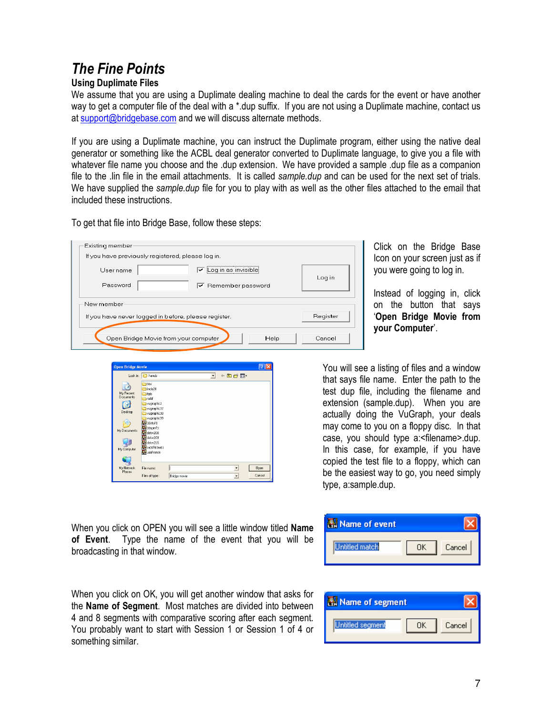# The Fine Points

#### Using Duplimate Files

We assume that you are using a Duplimate dealing machine to deal the cards for the event or have another way to get a computer file of the deal with a \*.dup suffix. If you are not using a Duplimate machine, contact us at support@bridgebase.com and we will discuss alternate methods.

If you are using a Duplimate machine, you can instruct the Duplimate program, either using the native deal generator or something like the ACBL deal generator converted to Duplimate language, to give you a file with whatever file name you choose and the .dup extension. We have provided a sample .dup file as a companion file to the .lin file in the email attachments. It is called sample.dup and can be used for the next set of trials. We have supplied the sample.dup file for you to play with as well as the other files attached to the email that included these instructions.

To get that file into Bridge Base, follow these steps:

| Existing member                                      |                                   |          |
|------------------------------------------------------|-----------------------------------|----------|
| If you have previously registered, please log in.    |                                   |          |
| Username                                             | Loq in as invisible               | Log in   |
| Password                                             | $\triangledown$ Remember password |          |
| -New member-                                         |                                   |          |
| If you have never logged in before, please register. |                                   | Register |
| Open Bridge Movie from your computer                 | Help                              | Cancel   |

Click on the Bridge Base Icon on your screen just as if you were going to log in.

Instead of logging in, click on the button that says 'Open Bridge Movie from your Computer'.



that says file name. Enter the path to the test dup file, including the filename and extension (sample.dup). When you are actually doing the VuGraph, your deals may come to you on a floppy disc. In that case, you should type a:<filename>.dup. In this case, for example, if you have copied the test file to a floppy, which can be the easiest way to go, you need simply type, a:sample.dup.

You will see a listing of files and a window

When you click on OPEN you will see a little window titled **Name** of Event. Type the name of the event that you will be broadcasting in that window.



When you click on OK, you will get another window that asks for the Name of Segment. Most matches are divided into between 4 and 8 segments with comparative scoring after each segment. You probably want to start with Session 1 or Session 1 of 4 or something similar.

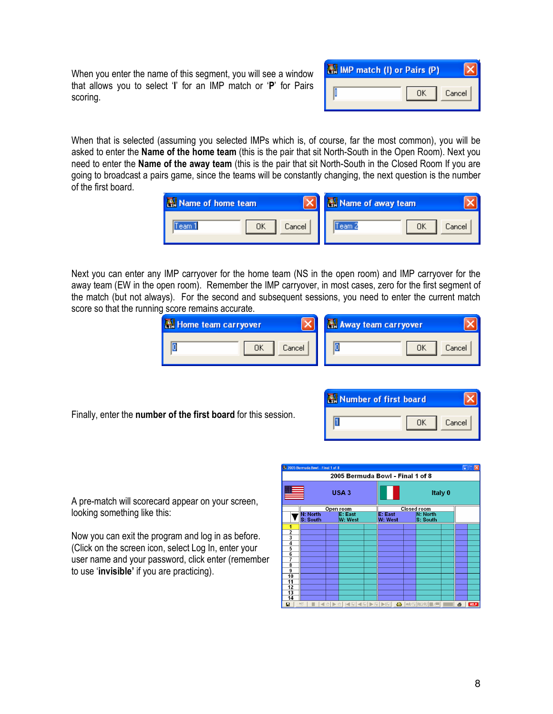When you enter the name of this segment, you will see a window that allows you to select 'I' for an IMP match or 'P' for Pairs scoring.

| IMP match (I) or Pairs (P) |    |        |
|----------------------------|----|--------|
|                            | ПK | Cancel |

When that is selected (assuming you selected IMPs which is, of course, far the most common), you will be asked to enter the **Name of the home team** (this is the pair that sit North-South in the Open Room). Next you need to enter the Name of the away team (this is the pair that sit North-South in the Closed Room If you are going to broadcast a pairs game, since the teams will be constantly changing, the next question is the number of the first board.

| Name of home team   | Name of away team |
|---------------------|-------------------|
| Cancel<br>ОΚ<br>eam | Cancel<br>leam.   |

Next you can enter any IMP carryover for the home team (NS in the open room) and IMP carryover for the away team (EW in the open room). Remember the IMP carryover, in most cases, zero for the first segment of the match (but not always). For the second and subsequent sessions, you need to enter the current match score so that the running score remains accurate.

| Home team carryover | Away team carryover |
|---------------------|---------------------|
| IC<br>ΟK<br>Cancel  | ΟK<br>Cancel        |

Finally, enter the number of the first board for this session.



A pre-match will scorecard appear on your screen, looking something like this:

Now you can exit the program and log in as before. (Click on the screen icon, select Log In, enter your user name and your password, click enter (remember to use 'invisible' if you are practicing).

| 2. 2005 Bermuda Bowl - Final 1 of 8<br>$\blacksquare$ $\blacksquare$ $\times$ |                             |                           |                   |  |                    |         |                         |  |   |             |  |
|-------------------------------------------------------------------------------|-----------------------------|---------------------------|-------------------|--|--------------------|---------|-------------------------|--|---|-------------|--|
| 2005 Bermuda Bowl - Final 1 of 8                                              |                             |                           |                   |  |                    |         |                         |  |   |             |  |
|                                                                               | USA <sub>3</sub>            |                           |                   |  |                    | Italy 0 |                         |  |   |             |  |
|                                                                               | Open room                   |                           |                   |  | <b>Closed room</b> |         |                         |  |   |             |  |
|                                                                               | <b>N: North</b><br>S: South | <b>E: East</b><br>W: West |                   |  | E: East<br>W: West |         | N: North<br>S: South    |  |   |             |  |
| 1                                                                             |                             |                           |                   |  |                    |         |                         |  |   |             |  |
|                                                                               |                             |                           |                   |  |                    |         |                         |  |   |             |  |
| $\frac{2}{3}$ $\frac{4}{5}$                                                   |                             |                           |                   |  |                    |         |                         |  |   |             |  |
|                                                                               |                             |                           |                   |  |                    |         |                         |  |   |             |  |
|                                                                               |                             |                           |                   |  |                    |         |                         |  |   |             |  |
| $\overline{6}$                                                                |                             |                           |                   |  |                    |         |                         |  |   |             |  |
| 7                                                                             |                             |                           |                   |  |                    |         |                         |  |   |             |  |
| 8<br>$\overline{9}$                                                           |                             |                           |                   |  |                    |         |                         |  |   |             |  |
| 10                                                                            |                             |                           |                   |  |                    |         |                         |  |   |             |  |
| 11                                                                            |                             |                           |                   |  |                    |         |                         |  |   |             |  |
| 12                                                                            |                             |                           |                   |  |                    |         |                         |  |   |             |  |
| 13                                                                            |                             |                           |                   |  |                    |         |                         |  |   |             |  |
| 14                                                                            |                             |                           |                   |  |                    |         |                         |  |   |             |  |
| Θ                                                                             | 照                           |                           | ◀◎▶◎│ख़ॿ(◀ॿ)▶⋓ ▶⋓ |  |                    |         | <b>CB e</b> R/E RU/RJ / |  | 6 | <b>HELP</b> |  |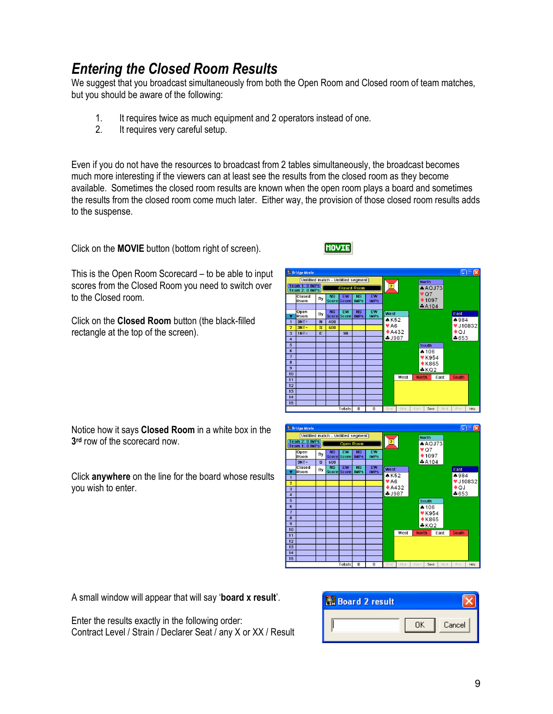### Entering the Closed Room Results

We suggest that you broadcast simultaneously from both the Open Room and Closed room of team matches, but you should be aware of the following:

- 1. It requires twice as much equipment and 2 operators instead of one.<br>2. It requires very careful setup.
- It requires very careful setup.

Even if you do not have the resources to broadcast from 2 tables simultaneously, the broadcast becomes much more interesting if the viewers can at least see the results from the closed room as they become available. Sometimes the closed room results are known when the open room plays a board and sometimes the results from the closed room come much later. Either way, the provision of those closed room results adds to the suspense.

Click on the MOVIE button (bottom right of screen).

**MOVIE** 

This is the Open Room Scorecard – to be able to input scores from the Closed Room you need to switch over to the Closed room.

Click on the Closed Room button (the black-filled rectangle at the top of the screen).

Notice how it says Closed Room in a white box in the 3 rd row of the scorecard now.

Click anywhere on the line for the board whose results you wish to enter.





A small window will appear that will say 'board x result'.

Enter the results exactly in the following order: Contract Level / Strain / Declarer Seat / any X or XX / Result

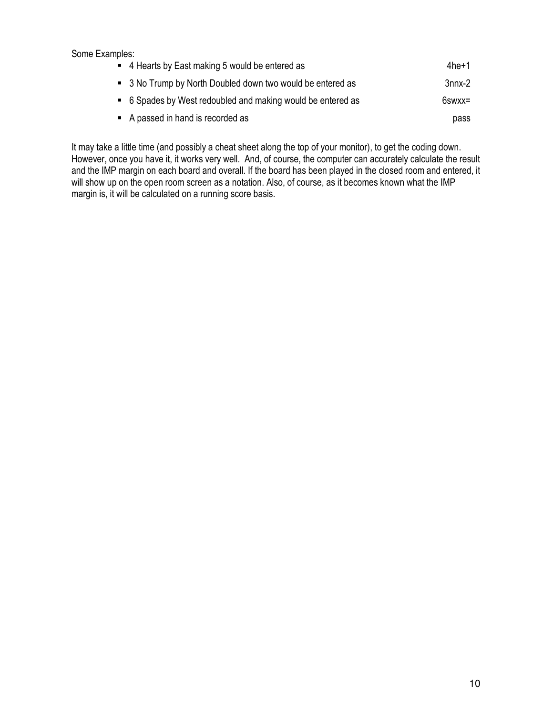| Some Examples:                                              |             |
|-------------------------------------------------------------|-------------|
| • 4 Hearts by East making 5 would be entered as             | $4$ he $+1$ |
| • 3 No Trump by North Doubled down two would be entered as  | 3nnx-2      |
| • 6 Spades by West redoubled and making would be entered as | 6swxx=      |
| • A passed in hand is recorded as                           | pass        |

It may take a little time (and possibly a cheat sheet along the top of your monitor), to get the coding down. However, once you have it, it works very well. And, of course, the computer can accurately calculate the result and the IMP margin on each board and overall. If the board has been played in the closed room and entered, it will show up on the open room screen as a notation. Also, of course, as it becomes known what the IMP margin is, it will be calculated on a running score basis.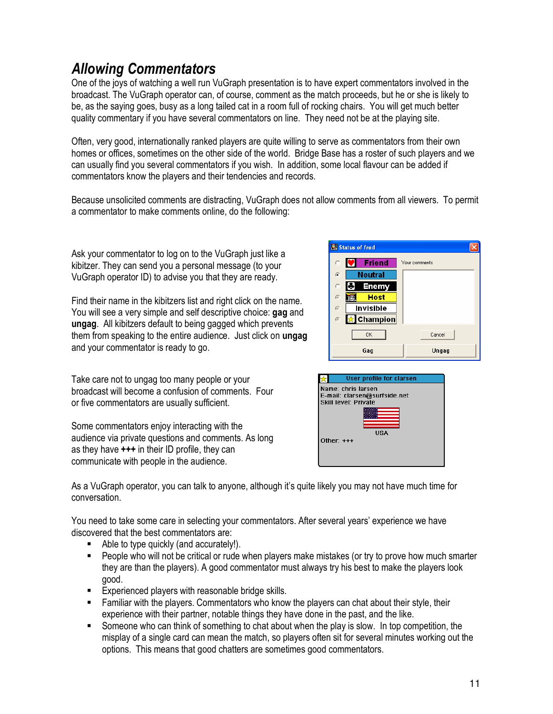## Allowing Commentators

One of the joys of watching a well run VuGraph presentation is to have expert commentators involved in the broadcast. The VuGraph operator can, of course, comment as the match proceeds, but he or she is likely to be, as the saying goes, busy as a long tailed cat in a room full of rocking chairs. You will get much better quality commentary if you have several commentators on line. They need not be at the playing site.

Often, very good, internationally ranked players are quite willing to serve as commentators from their own homes or offices, sometimes on the other side of the world. Bridge Base has a roster of such players and we can usually find you several commentators if you wish. In addition, some local flavour can be added if commentators know the players and their tendencies and records.

Because unsolicited comments are distracting, VuGraph does not allow comments from all viewers. To permit a commentator to make comments online, do the following:

Ask your commentator to log on to the VuGraph just like a kibitzer. They can send you a personal message (to your VuGraph operator ID) to advise you that they are ready.

Find their name in the kibitzers list and right click on the name. You will see a very simple and self descriptive choice: gag and ungag. All kibitzers default to being gagged which prevents them from speaking to the entire audience. Just click on ungag and your commentator is ready to go.

Take care not to ungag too many people or your broadcast will become a confusion of comments. Four or five commentators are usually sufficient.

Some commentators enjoy interacting with the audience via private questions and comments. As long as they have +++ in their ID profile, they can communicate with people in the audience.





As a VuGraph operator, you can talk to anyone, although it's quite likely you may not have much time for conversation.

You need to take some care in selecting your commentators. After several years' experience we have discovered that the best commentators are:

- Able to type quickly (and accurately!).
- People who will not be critical or rude when players make mistakes (or try to prove how much smarter they are than the players). A good commentator must always try his best to make the players look good.
- Experienced players with reasonable bridge skills.
- Familiar with the players. Commentators who know the players can chat about their style, their experience with their partner, notable things they have done in the past, and the like.
- Someone who can think of something to chat about when the play is slow. In top competition, the misplay of a single card can mean the match, so players often sit for several minutes working out the options. This means that good chatters are sometimes good commentators.